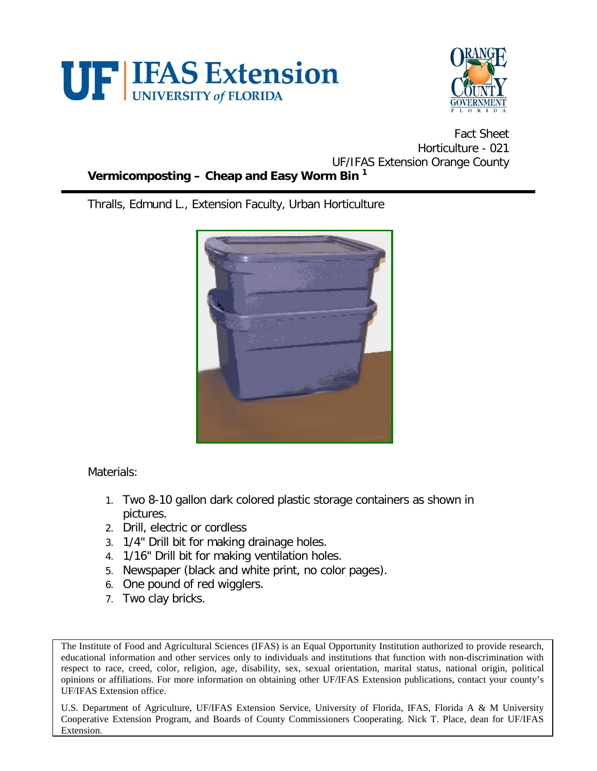



Fact Sheet Horticulture - 021 UF/IFAS Extension Orange County **Vermicomposting – Cheap and Easy Worm Bin <sup>1</sup>**

Thralls, Edmund L., Extension Faculty, Urban Horticulture



Materials:

- 1. Two 8-10 gallon dark colored plastic storage containers as shown in pictures.
- 2. Drill, electric or cordless
- 3. 1/4" Drill bit for making drainage holes.
- 4. 1/16" Drill bit for making ventilation holes.
- 5. Newspaper (black and white print, no color pages).
- 6. One pound of red wigglers.
- 7. Two clay bricks.

The Institute of Food and Agricultural Sciences (IFAS) is an Equal Opportunity Institution authorized to provide research, educational information and other services only to individuals and institutions that function with non-discrimination with respect to race, creed, color, religion, age, disability, sex, sexual orientation, marital status, national origin, political opinions or affiliations. For more information on obtaining other UF/IFAS Extension publications, contact your county's UF/IFAS Extension office.

U.S. Department of Agriculture, UF/IFAS Extension Service, University of Florida, IFAS, Florida A & M University Cooperative Extension Program, and Boards of County Commissioners Cooperating. Nick T. Place, dean for UF/IFAS Extension.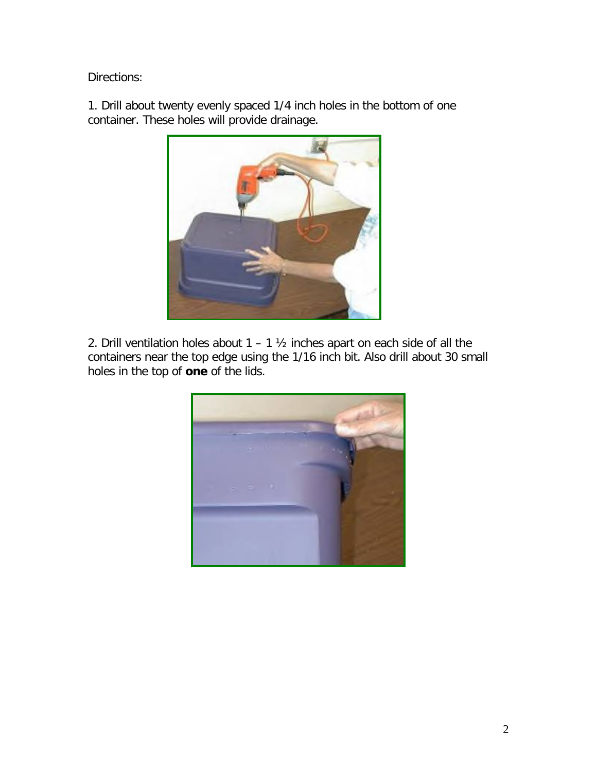Directions:

1. Drill about twenty evenly spaced 1/4 inch holes in the bottom of one container. These holes will provide drainage.



2. Drill ventilation holes about  $1 - 1$   $\frac{1}{2}$  inches apart on each side of all the containers near the top edge using the 1/16 inch bit. Also drill about 30 small holes in the top of **one** of the lids.

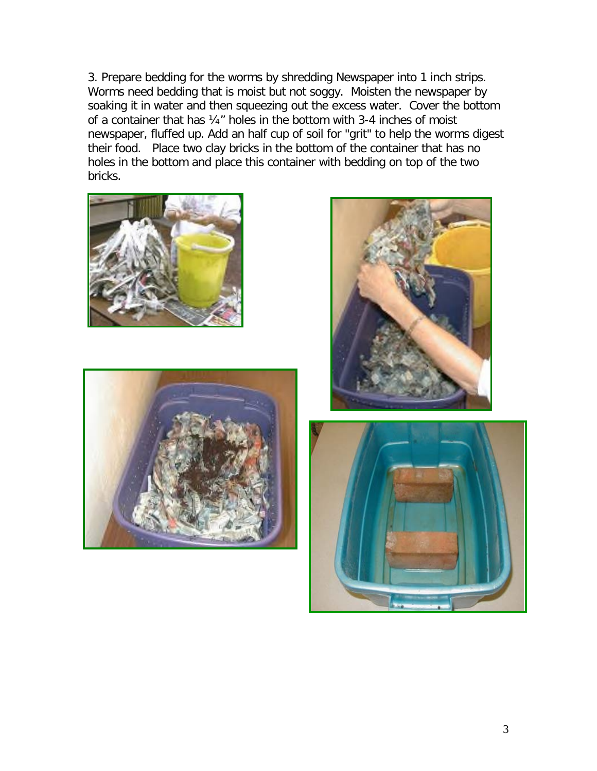3. Prepare bedding for the worms by shredding Newspaper into 1 inch strips. Worms need bedding that is moist but not soggy. Moisten the newspaper by soaking it in water and then squeezing out the excess water. Cover the bottom of a container that has ¼" holes in the bottom with 3-4 inches of moist newspaper, fluffed up. Add an half cup of soil for "grit" to help the worms digest their food. Place two clay bricks in the bottom of the container that has no holes in the bottom and place this container with bedding on top of the two bricks.







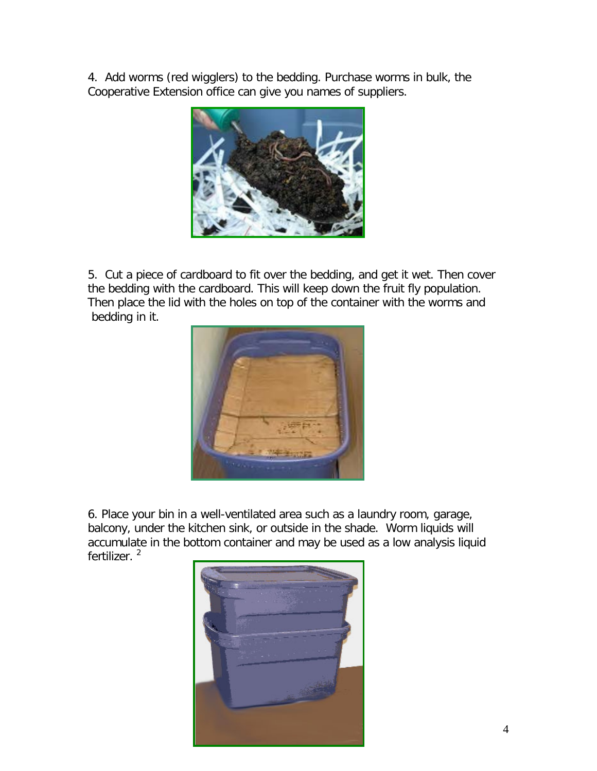4. Add worms (red wigglers) to the bedding. Purchase worms in bulk, the Cooperative Extension office can give you names of suppliers.



5. Cut a piece of cardboard to fit over the bedding, and get it wet. Then cover the bedding with the cardboard. This will keep down the fruit fly population. Then place the lid with the holes on top of the container with the worms and bedding in it.



6. Place your bin in a well-ventilated area such as a laundry room, garage, balcony, under the kitchen sink, or outside in the shade. Worm liquids will accumulate in the bottom container and may be used as a low analysis liquid fertilizer.<sup>2</sup>

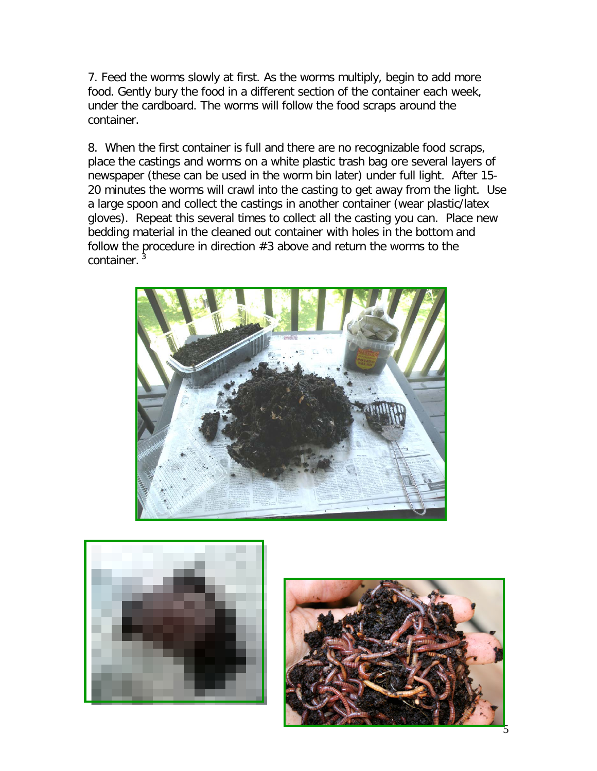7. Feed the worms slowly at first. As the worms multiply, begin to add more food. Gently bury the food in a different section of the container each week, under the cardboard. The worms will follow the food scraps around the container.

8. When the first container is full and there are no recognizable food scraps, place the castings and worms on a white plastic trash bag ore several layers of newspaper (these can be used in the worm bin later) under full light. After 15- 20 minutes the worms will crawl into the casting to get away from the light. Use a large spoon and collect the castings in another container (wear plastic/latex gloves). Repeat this several times to collect all the casting you can. Place new bedding material in the cleaned out container with holes in the bottom and follow the procedure in direction  $#3$  above and return the worms to the container.<sup>3</sup>